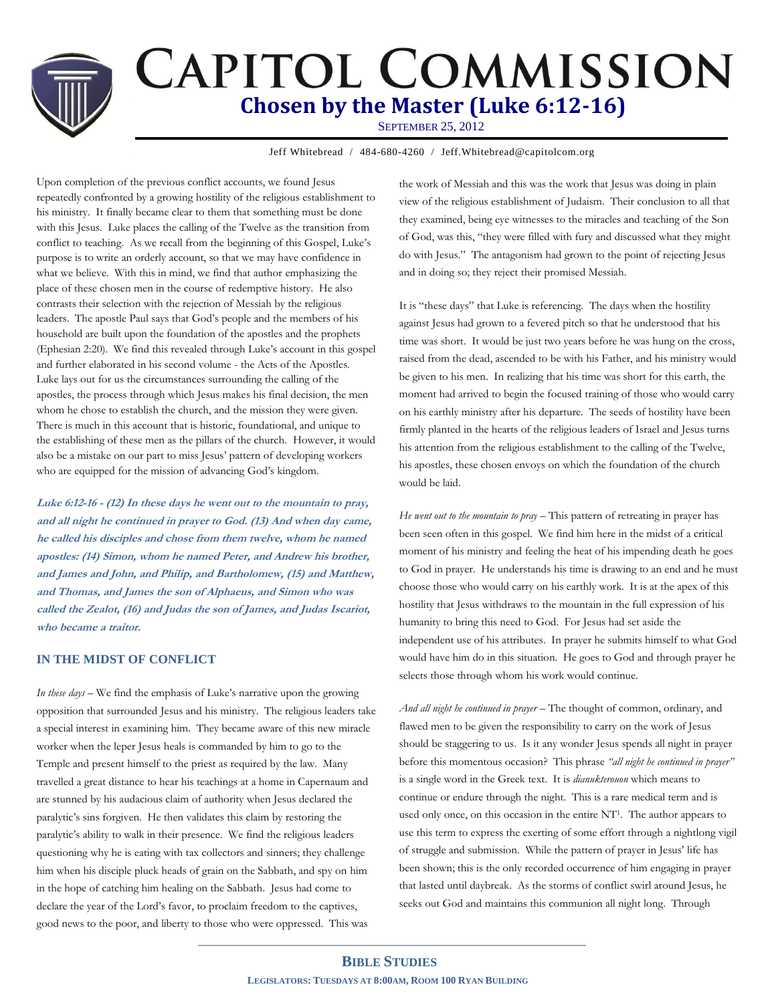## **CAPITOL COMMISSION Chosen by the Master (Luke 6:12-16)** SEPTEMBER 25, 2012

Jeff Whitebread / 484-680-4260 / Jeff.Whitebread@capitolcom.org

Upon completion of the previous conflict accounts, we found Jesus repeatedly confronted by a growing hostility of the religious establishment to his ministry. It finally became clear to them that something must be done with this Jesus. Luke places the calling of the Twelve as the transition from conflict to teaching. As we recall from the beginning of this Gospel, Luke's purpose is to write an orderly account, so that we may have confidence in what we believe. With this in mind, we find that author emphasizing the place of these chosen men in the course of redemptive history. He also contrasts their selection with the rejection of Messiah by the religious leaders. The apostle Paul says that God's people and the members of his household are built upon the foundation of the apostles and the prophets (Ephesian 2:20). We find this revealed through Luke's account in this gospel and further elaborated in his second volume - the Acts of the Apostles. Luke lays out for us the circumstances surrounding the calling of the apostles, the process through which Jesus makes his final decision, the men whom he chose to establish the church, and the mission they were given. There is much in this account that is historic, foundational, and unique to the establishing of these men as the pillars of the church. However, it would also be a mistake on our part to miss Jesus' pattern of developing workers who are equipped for the mission of advancing God's kingdom.

**Luke 6:12-16 - (12) In these days he went out to the mountain to pray, and all night he continued in prayer to God. (13) And when day came, he called his disciples and chose from them twelve, whom he named apostles: (14) Simon, whom he named Peter, and Andrew his brother, and James and John, and Philip, and Bartholomew, (15) and Matthew, and Thomas, and James the son of Alphaeus, and Simon who was called the Zealot, (16) and Judas the son of James, and Judas Iscariot, who became a traitor.** 

### **IN THE MIDST OF CONFLICT**

*In these days* – We find the emphasis of Luke's narrative upon the growing opposition that surrounded Jesus and his ministry. The religious leaders take a special interest in examining him. They became aware of this new miracle worker when the leper Jesus heals is commanded by him to go to the Temple and present himself to the priest as required by the law. Many travelled a great distance to hear his teachings at a home in Capernaum and are stunned by his audacious claim of authority when Jesus declared the paralytic's sins forgiven. He then validates this claim by restoring the paralytic's ability to walk in their presence. We find the religious leaders questioning why he is eating with tax collectors and sinners; they challenge him when his disciple pluck heads of grain on the Sabbath, and spy on him in the hope of catching him healing on the Sabbath. Jesus had come to declare the year of the Lord's favor, to proclaim freedom to the captives, good news to the poor, and liberty to those who were oppressed. This was

the work of Messiah and this was the work that Jesus was doing in plain view of the religious establishment of Judaism. Their conclusion to all that they examined, being eye witnesses to the miracles and teaching of the Son of God, was this, "they were filled with fury and discussed what they might do with Jesus." The antagonism had grown to the point of rejecting Jesus and in doing so; they reject their promised Messiah.

It is "these days" that Luke is referencing. The days when the hostility against Jesus had grown to a fevered pitch so that he understood that his time was short. It would be just two years before he was hung on the cross, raised from the dead, ascended to be with his Father, and his ministry would be given to his men. In realizing that his time was short for this earth, the moment had arrived to begin the focused training of those who would carry on his earthly ministry after his departure. The seeds of hostility have been firmly planted in the hearts of the religious leaders of Israel and Jesus turns his attention from the religious establishment to the calling of the Twelve, his apostles, these chosen envoys on which the foundation of the church would be laid.

*He went out to the mountain to pray* – This pattern of retreating in prayer has been seen often in this gospel. We find him here in the midst of a critical moment of his ministry and feeling the heat of his impending death he goes to God in prayer. He understands his time is drawing to an end and he must choose those who would carry on his earthly work. It is at the apex of this hostility that Jesus withdraws to the mountain in the full expression of his humanity to bring this need to God. For Jesus had set aside the independent use of his attributes. In prayer he submits himself to what God would have him do in this situation. He goes to God and through prayer he selects those through whom his work would continue.

*And all night he continued in prayer* – The thought of common, ordinary, and flawed men to be given the responsibility to carry on the work of Jesus should be staggering to us. Is it any wonder Jesus spends all night in prayer before this momentous occasion? This phrase *"all night he continued in prayer"* is a single word in the Greek text. It is *dianukterouon* which means to continue or endure through the night. This is a rare medical term and is used only once, on this occasion in the entire NT<sup>1</sup>. The author appears to use this term to express the exerting of some effort through a nightlong vigil of struggle and submission. While the pattern of prayer in Jesus' life has been shown; this is the only recorded occurrence of him engaging in prayer that lasted until daybreak. As the storms of conflict swirl around Jesus, he seeks out God and maintains this communion all night long. Through